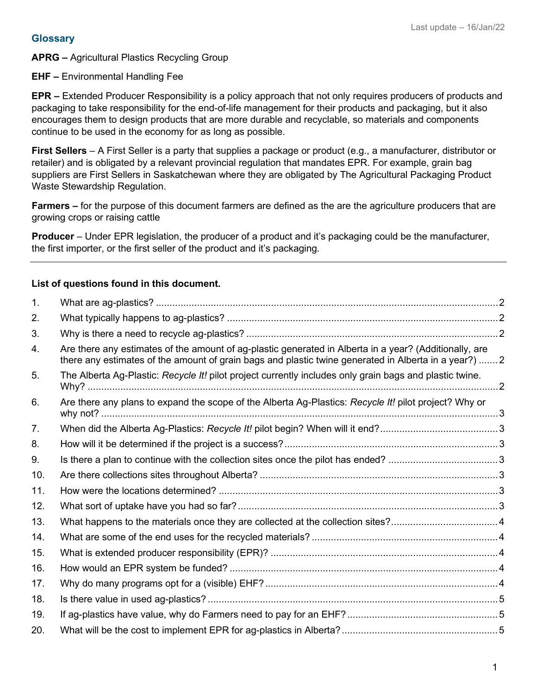#### **Glossary**

**APRG –** Agricultural Plastics Recycling Group

**EHF –** Environmental Handling Fee

**EPR –** Extended Producer Responsibility is a policy approach that not only requires producers of products and packaging to take responsibility for the end-of-life management for their products and packaging, but it also encourages them to design products that are more durable and recyclable, so materials and components continue to be used in the economy for as long as possible.

**First Sellers** – A First Seller is a party that supplies a package or product (e.g., a manufacturer, distributor or retailer) and is obligated by a relevant provincial regulation that mandates EPR. For example, grain bag suppliers are First Sellers in Saskatchewan where they are obligated by The Agricultural Packaging Product Waste Stewardship Regulation.

**Farmers –** for the purpose of this document farmers are defined as the are the agriculture producers that are growing crops or raising cattle

**Producer** – Under EPR legislation, the producer of a product and it's packaging could be the manufacturer, the first importer, or the first seller of the product and it's packaging.

#### **List of questions found in this document.**

| $\mathbf{1}$ . |                                                                                                                                                                                                                 |  |  |  |  |
|----------------|-----------------------------------------------------------------------------------------------------------------------------------------------------------------------------------------------------------------|--|--|--|--|
| 2.             |                                                                                                                                                                                                                 |  |  |  |  |
| 3.             |                                                                                                                                                                                                                 |  |  |  |  |
| 4.             | Are there any estimates of the amount of ag-plastic generated in Alberta in a year? (Additionally, are<br>there any estimates of the amount of grain bags and plastic twine generated in Alberta in a year?)  2 |  |  |  |  |
| 5.             | The Alberta Ag-Plastic: Recycle It! pilot project currently includes only grain bags and plastic twine.                                                                                                         |  |  |  |  |
| 6.             | Are there any plans to expand the scope of the Alberta Ag-Plastics: Recycle It! pilot project? Why or                                                                                                           |  |  |  |  |
| 7.             |                                                                                                                                                                                                                 |  |  |  |  |
| 8.             |                                                                                                                                                                                                                 |  |  |  |  |
| 9.             |                                                                                                                                                                                                                 |  |  |  |  |
| 10.            |                                                                                                                                                                                                                 |  |  |  |  |
| 11.            |                                                                                                                                                                                                                 |  |  |  |  |
| 12.            |                                                                                                                                                                                                                 |  |  |  |  |
| 13.            |                                                                                                                                                                                                                 |  |  |  |  |
| 14.            |                                                                                                                                                                                                                 |  |  |  |  |
| 15.            |                                                                                                                                                                                                                 |  |  |  |  |
| 16.            |                                                                                                                                                                                                                 |  |  |  |  |
| 17.            |                                                                                                                                                                                                                 |  |  |  |  |
| 18.            |                                                                                                                                                                                                                 |  |  |  |  |
| 19.            |                                                                                                                                                                                                                 |  |  |  |  |
| 20.            |                                                                                                                                                                                                                 |  |  |  |  |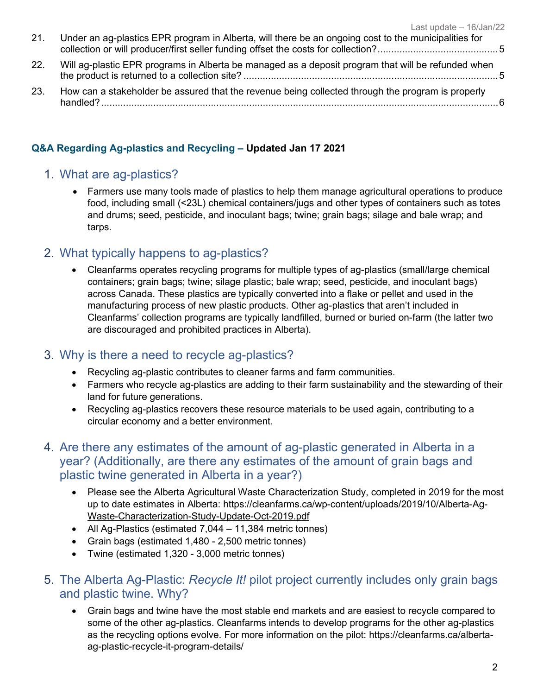| 21. | Under an ag-plastics EPR program in Alberta, will there be an ongoing cost to the municipalities for |  |
|-----|------------------------------------------------------------------------------------------------------|--|
| 22. | Will ag-plastic EPR programs in Alberta be managed as a deposit program that will be refunded when   |  |
| 23. | How can a stakeholder be assured that the revenue being collected through the program is properly    |  |

#### **Q&A Regarding Ag-plastics and Recycling – Updated Jan 17 2021**

#### <span id="page-1-0"></span>1. What are ag-plastics?

• Farmers use many tools made of plastics to help them manage agricultural operations to produce food, including small (<23L) chemical containers/jugs and other types of containers such as totes and drums; seed, pesticide, and inoculant bags; twine; grain bags; silage and bale wrap; and tarps.

## <span id="page-1-1"></span>2. What typically happens to ag-plastics?

• Cleanfarms operates recycling programs for multiple types of ag-plastics (small/large chemical containers; grain bags; twine; silage plastic; bale wrap; seed, pesticide, and inoculant bags) across Canada. These plastics are typically converted into a flake or pellet and used in the manufacturing process of new plastic products. Other ag-plastics that aren't included in Cleanfarms' collection programs are typically landfilled, burned or buried on-farm (the latter two are discouraged and prohibited practices in Alberta).

## <span id="page-1-2"></span>3. Why is there a need to recycle ag-plastics?

- Recycling ag-plastic contributes to cleaner farms and farm communities.
- Farmers who recycle ag-plastics are adding to their farm sustainability and the stewarding of their land for future generations.
- Recycling ag-plastics recovers these resource materials to be used again, contributing to a circular economy and a better environment.
- <span id="page-1-3"></span>4. Are there any estimates of the amount of ag-plastic generated in Alberta in a year? (Additionally, are there any estimates of the amount of grain bags and plastic twine generated in Alberta in a year?)
	- Please see the Alberta Agricultural Waste Characterization Study, completed in 2019 for the most up to date estimates in Alberta: [https://cleanfarms.ca/wp-content/uploads/2019/10/Alberta-Ag-](https://cleanfarms.ca/wp-content/uploads/2019/10/Alberta-Ag-Waste-Characterization-Study-Update-Oct-2019.pdf)[Waste-Characterization-Study-Update-Oct-2019.pdf](https://cleanfarms.ca/wp-content/uploads/2019/10/Alberta-Ag-Waste-Characterization-Study-Update-Oct-2019.pdf)
	- All Ag-Plastics (estimated 7,044 11,384 metric tonnes)
	- Grain bags (estimated 1,480 2,500 metric tonnes)
	- Twine (estimated 1,320 3,000 metric tonnes)
- <span id="page-1-4"></span>5. The Alberta Ag-Plastic: *Recycle It!* pilot project currently includes only grain bags and plastic twine. Why?
	- Grain bags and twine have the most stable end markets and are easiest to recycle compared to some of the other ag-plastics. Cleanfarms intends to develop programs for the other ag-plastics as the recycling options evolve. For more information on the pilot: https://cleanfarms.ca/albertaag-plastic-recycle-it-program-details/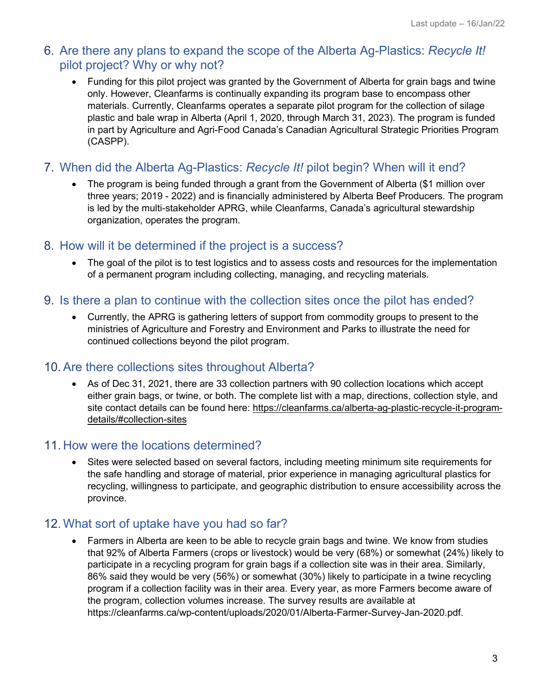## <span id="page-2-0"></span>6. Are there any plans to expand the scope of the Alberta Ag-Plastics: *Recycle It!* pilot project? Why or why not?

• Funding for this pilot project was granted by the Government of Alberta for grain bags and twine only. However, Cleanfarms is continually expanding its program base to encompass other materials. Currently, Cleanfarms operates a separate pilot program for the collection of silage plastic and bale wrap in Alberta (April 1, 2020, through March 31, 2023). The program is funded in part by Agriculture and Agri-Food Canada's Canadian Agricultural Strategic Priorities Program (CASPP).

## <span id="page-2-1"></span>7. When did the Alberta Ag-Plastics: *Recycle It!* pilot begin? When will it end?

• The program is being funded through a grant from the Government of Alberta (\$1 million over three years; 2019 - 2022) and is financially administered by Alberta Beef Producers. The program is led by the multi-stakeholder APRG, while Cleanfarms, Canada's agricultural stewardship organization, operates the program.

## <span id="page-2-2"></span>8. How will it be determined if the project is a success?

• The goal of the pilot is to test logistics and to assess costs and resources for the implementation of a permanent program including collecting, managing, and recycling materials.

## <span id="page-2-3"></span>9. Is there a plan to continue with the collection sites once the pilot has ended?

• Currently, the APRG is gathering letters of support from commodity groups to present to the ministries of Agriculture and Forestry and Environment and Parks to illustrate the need for continued collections beyond the pilot program.

## <span id="page-2-4"></span>10. Are there collections sites throughout Alberta?

• As of Dec 31, 2021, there are 33 collection partners with 90 collection locations which accept either grain bags, or twine, or both. The complete list with a map, directions, collection style, and site contact details can be found here: [https://cleanfarms.ca/alberta-ag-plastic-recycle-it-program](https://cleanfarms.ca/alberta-ag-plastic-recycle-it-program-details/%23collection-sites)[details/#collection-sites](https://cleanfarms.ca/alberta-ag-plastic-recycle-it-program-details/%23collection-sites)

## <span id="page-2-5"></span>11. How were the locations determined?

• Sites were selected based on several factors, including meeting minimum site requirements for the safe handling and storage of material, prior experience in managing agricultural plastics for recycling, willingness to participate, and geographic distribution to ensure accessibility across the province.

# <span id="page-2-6"></span>12. What sort of uptake have you had so far?

• Farmers in Alberta are keen to be able to recycle grain bags and twine. We know from studies that 92% of Alberta Farmers (crops or livestock) would be very (68%) or somewhat (24%) likely to participate in a recycling program for grain bags if a collection site was in their area. Similarly, 86% said they would be very (56%) or somewhat (30%) likely to participate in a twine recycling program if a collection facility was in their area. Every year, as more Farmers become aware of the program, collection volumes increase. The survey results are available at https://cleanfarms.ca/wp-content/uploads/2020/01/Alberta-Farmer-Survey-Jan-2020.pdf.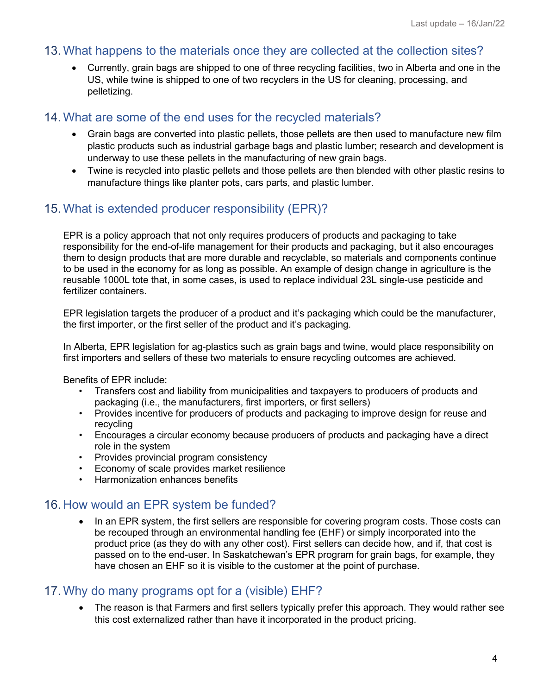#### <span id="page-3-0"></span>13. What happens to the materials once they are collected at the collection sites?

• Currently, grain bags are shipped to one of three recycling facilities, two in Alberta and one in the US, while twine is shipped to one of two recyclers in the US for cleaning, processing, and pelletizing.

### <span id="page-3-1"></span>14. What are some of the end uses for the recycled materials?

- Grain bags are converted into plastic pellets, those pellets are then used to manufacture new film plastic products such as industrial garbage bags and plastic lumber; research and development is underway to use these pellets in the manufacturing of new grain bags.
- Twine is recycled into plastic pellets and those pellets are then blended with other plastic resins to manufacture things like planter pots, cars parts, and plastic lumber.

### <span id="page-3-2"></span>15. What is extended producer responsibility (EPR)?

EPR is a policy approach that not only requires producers of products and packaging to take responsibility for the end-of-life management for their products and packaging, but it also encourages them to design products that are more durable and recyclable, so materials and components continue to be used in the economy for as long as possible. An example of design change in agriculture is the reusable 1000L tote that, in some cases, is used to replace individual 23L single-use pesticide and fertilizer containers.

EPR legislation targets the producer of a product and it's packaging which could be the manufacturer, the first importer, or the first seller of the product and it's packaging.

In Alberta, EPR legislation for ag-plastics such as grain bags and twine, would place responsibility on first importers and sellers of these two materials to ensure recycling outcomes are achieved.

Benefits of EPR include:

- Transfers cost and liability from municipalities and taxpayers to producers of products and packaging (i.e., the manufacturers, first importers, or first sellers)
- Provides incentive for producers of products and packaging to improve design for reuse and recycling
- Encourages a circular economy because producers of products and packaging have a direct role in the system
- Provides provincial program consistency
- Economy of scale provides market resilience
- Harmonization enhances benefits

## <span id="page-3-3"></span>16. How would an EPR system be funded?

In an EPR system, the first sellers are responsible for covering program costs. Those costs can be recouped through an environmental handling fee (EHF) or simply incorporated into the product price (as they do with any other cost). First sellers can decide how, and if, that cost is passed on to the end-user. In Saskatchewan's EPR program for grain bags, for example, they have chosen an EHF so it is visible to the customer at the point of purchase.

## <span id="page-3-4"></span>17. Why do many programs opt for a (visible) EHF?

• The reason is that Farmers and first sellers typically prefer this approach. They would rather see this cost externalized rather than have it incorporated in the product pricing.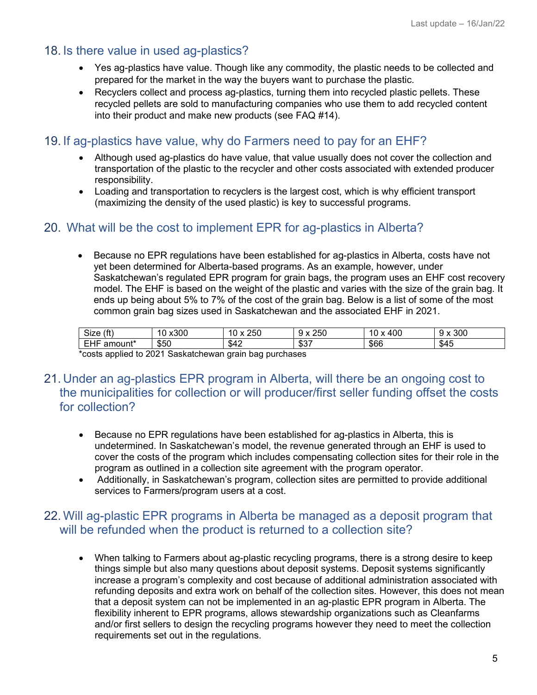### <span id="page-4-0"></span>18. Is there value in used ag-plastics?

- Yes ag-plastics have value. Though like any commodity, the plastic needs to be collected and prepared for the market in the way the buyers want to purchase the plastic.
- Recyclers collect and process ag-plastics, turning them into recycled plastic pellets. These recycled pellets are sold to manufacturing companies who use them to add recycled content into their product and make new products (see FAQ #14).

### <span id="page-4-1"></span>19. If ag-plastics have value, why do Farmers need to pay for an EHF?

- Although used ag-plastics do have value, that value usually does not cover the collection and transportation of the plastic to the recycler and other costs associated with extended producer responsibility.
- Loading and transportation to recyclers is the largest cost, which is why efficient transport (maximizing the density of the used plastic) is key to successful programs.

## <span id="page-4-2"></span>20. What will be the cost to implement EPR for ag-plastics in Alberta?

• Because no EPR regulations have been established for ag-plastics in Alberta, costs have not yet been determined for Alberta-based programs. As an example, however, under Saskatchewan's regulated EPR program for grain bags, the program uses an EHF cost recovery model. The EHF is based on the weight of the plastic and varies with the size of the grain bag. It ends up being about 5% to 7% of the cost of the grain bag. Below is a list of some of the most common grain bag sizes used in Saskatchewan and the associated EHF in 2021.

| (f <sup>t</sup> )<br>$\sim$<br>Size                          | x300<br>$\overline{ }$<br>u | 250<br>$\sim$ | 250            | 400<br>-<br>$\lambda$ | 300<br>$\mathbf{v}$<br>u<br>$\overline{\phantom{a}}$ |
|--------------------------------------------------------------|-----------------------------|---------------|----------------|-----------------------|------------------------------------------------------|
| $- \cdot$<br>$\overline{\phantom{0}}$<br>.<br>amount*<br>- 1 | ጦር<br>ຈວບ                   | \$42          | . ტი —<br>ູບບາ | \$66                  | \$45                                                 |

\*costs applied to 2021 Saskatchewan grain bag purchases

- <span id="page-4-3"></span>21. Under an ag-plastics EPR program in Alberta, will there be an ongoing cost to the municipalities for collection or will producer/first seller funding offset the costs for collection?
	- Because no EPR regulations have been established for ag-plastics in Alberta, this is undetermined. In Saskatchewan's model, the revenue generated through an EHF is used to cover the costs of the program which includes compensating collection sites for their role in the program as outlined in a collection site agreement with the program operator.
	- Additionally, in Saskatchewan's program, collection sites are permitted to provide additional services to Farmers/program users at a cost.

## <span id="page-4-4"></span>22. Will ag-plastic EPR programs in Alberta be managed as a deposit program that will be refunded when the product is returned to a collection site?

• When talking to Farmers about ag-plastic recycling programs, there is a strong desire to keep things simple but also many questions about deposit systems. Deposit systems significantly increase a program's complexity and cost because of additional administration associated with refunding deposits and extra work on behalf of the collection sites. However, this does not mean that a deposit system can not be implemented in an ag-plastic EPR program in Alberta. The flexibility inherent to EPR programs, allows stewardship organizations such as Cleanfarms and/or first sellers to design the recycling programs however they need to meet the collection requirements set out in the regulations.